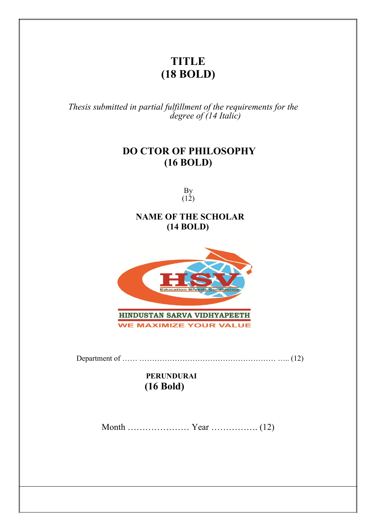## **TITLE (18 BOLD)**

*Thesis submitted in partial fulfillment of the requirements for the degree of (14 Italic)*

## **DO CTOR OF PHILOSOPHY (16 BOLD)**

By  $(12)$ 

### **NAME OF THE SCHOLAR (14 BOLD)**



Department of …… ……………………………………………… ….. (12)

### **PERUNDURAI (16 Bold)**

Month ………………… Year ……………. (12)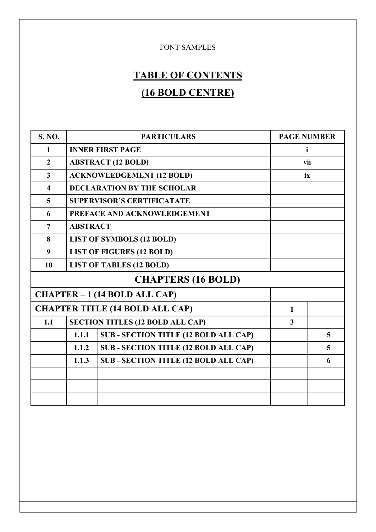### FONT SAMPLES

# **TABLE OF CONTENTS (16 BOLD CENTRE)**

| <b>S. NO.</b>                          | <b>PARTICULARS</b>                |                                              | <b>PAGE NUMBER</b> |   |  |
|----------------------------------------|-----------------------------------|----------------------------------------------|--------------------|---|--|
| 1                                      |                                   | <b>INNER FIRST PAGE</b>                      | Ť                  |   |  |
| $\overline{2}$                         |                                   | <b>ABSTRACT (12 BOLD)</b>                    | vii                |   |  |
| $\overline{\mathbf{3}}$                |                                   | <b>ACKNOWLEDGEMENT (12 BOLD)</b>             | ix                 |   |  |
| $\overline{\mathbf{4}}$                |                                   | <b>DECLARATION BY THE SCHOLAR</b>            |                    |   |  |
| 5                                      | <b>SUPERVISOR'S CERTIFICATATE</b> |                                              |                    |   |  |
| 6                                      | PREFACE AND ACKNOWLEDGEMENT       |                                              |                    |   |  |
| $\overline{7}$                         | <b>ABSTRACT</b>                   |                                              |                    |   |  |
| 8                                      | <b>LIST OF SYMBOLS (12 BOLD)</b>  |                                              |                    |   |  |
| 9                                      | <b>LIST OF FIGURES (12 BOLD)</b>  |                                              |                    |   |  |
| 10                                     | <b>LIST OF TABLES (12 BOLD)</b>   |                                              |                    |   |  |
| <b>CHAPTERS (16 BOLD)</b>              |                                   |                                              |                    |   |  |
| CHAPTER - 1 (14 BOLD ALL CAP)          |                                   |                                              |                    |   |  |
| <b>CHAPTER TITLE (14 BOLD ALL CAP)</b> |                                   |                                              | $\mathbf{1}$       |   |  |
| 1.1                                    |                                   | <b>SECTION TITLES (12 BOLD ALL CAP)</b>      | $\overline{3}$     |   |  |
|                                        | 1.1.1                             | <b>SUB - SECTION TITLE (12 BOLD ALL CAP)</b> |                    | 5 |  |
|                                        | 1.1.2                             | <b>SUB-SECTION TITLE (12 BOLD ALL CAP)</b>   |                    | 5 |  |
|                                        | 1.1.3                             | <b>SUB-SECTION TITLE (12 BOLD ALL CAP)</b>   |                    | 6 |  |
|                                        |                                   |                                              |                    |   |  |
|                                        |                                   |                                              |                    |   |  |
|                                        |                                   |                                              |                    |   |  |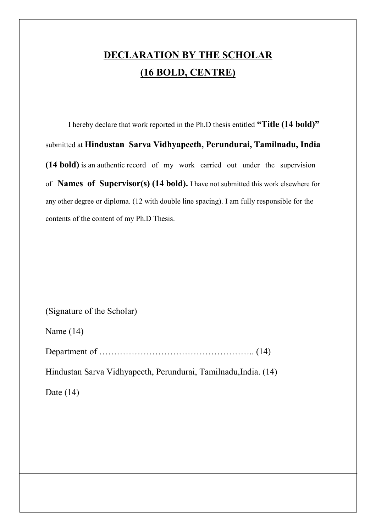# **DECLARATION BY THE SCHOLAR (16 BOLD, CENTRE)**

I hereby declare that work reported in the Ph.D thesis entitled **"Title (14 bold)"** submitted at **Hindustan Sarva Vidhyapeeth, Perundurai, Tamilnadu, India (14 bold)** is an authentic record of my work carried out under the supervision of **Names of Supervisor(s) (14 bold).** I have not submitted this work elsewhere for any other degree or diploma. (12 with double line spacing). I am fully responsible for the contents of the content of my Ph.D Thesis.

(Signature of the Scholar)

Name (14)

Department of …………………………………………….. (14)

Hindustan Sarva Vidhyapeeth, Perundurai, Tamilnadu,India. (14)

Date  $(14)$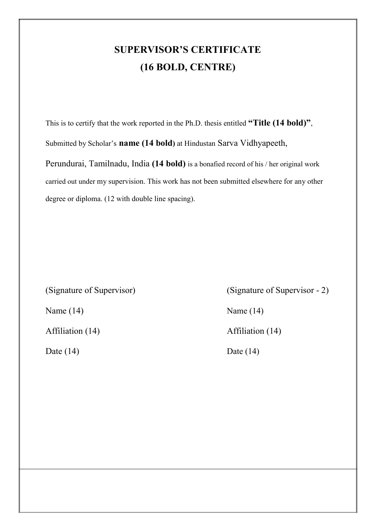## **SUPERVISOR'S CERTIFICATE (16 BOLD, CENTRE)**

This is to certify that the work reported in the Ph.D. thesis entitled **"Title (14 bold)"**, Submitted by Scholar's **name (14 bold)** at Hindustan Sarva Vidhyapeeth, Perundurai, Tamilnadu, India **(14 bold)** is a bonafied record of his / her original work carried out under my supervision. This work has not been submitted elsewhere for any other degree or diploma. (12 with double line spacing).

(Signature of Supervisor) (Signature of Supervisor - 2) Name (14) Name (14) Affiliation (14) **Affiliation** (14) Date (14) Date (14)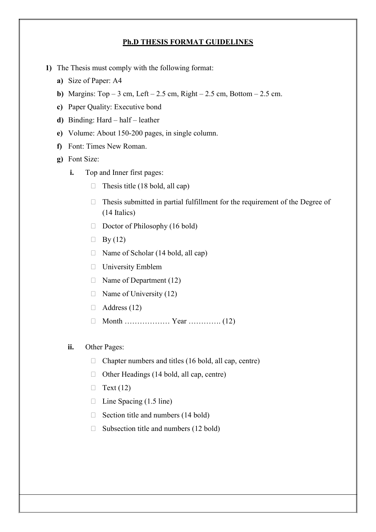#### **Ph.D THESIS FORMAT GUIDELINES**

- **1)** The Thesis must comply with the following format:
	- **a)** Size of Paper: A4
	- **b)** Margins:  $Top 3$  cm, Left 2.5 cm, Right 2.5 cm, Bottom 2.5 cm.
	- **c)** Paper Quality: Executive bond
	- **d)** Binding: Hard half leather
	- **e)** Volume: About 150-200 pages, in single column.
	- **f)** Font: Times New Roman.
	- **g)** Font Size:
		- **i.** Top and Inner first pages:
			- $\Box$  Thesis title (18 bold, all cap)
			- $\Box$  Thesis submitted in partial fulfillment for the requirement of the Degree of (14 Italics)
			- $\Box$  Doctor of Philosophy (16 bold)
			- $\Box$  By (12)
			- □ Name of Scholar (14 bold, all cap)
			- University Emblem
			- $\Box$  Name of Department (12)
			- $\Box$  Name of University (12)
			- $\Box$  Address (12)
			- Month ……………… Year …………. (12)
		- **ii.** Other Pages:
			- $\Box$  Chapter numbers and titles (16 bold, all cap, centre)
			- $\Box$  Other Headings (14 bold, all cap, centre)
			- $\Box$  Text (12)
			- $\Box$  Line Spacing (1.5 line)
			- $\Box$  Section title and numbers (14 bold)
			- $\Box$  Subsection title and numbers (12 bold)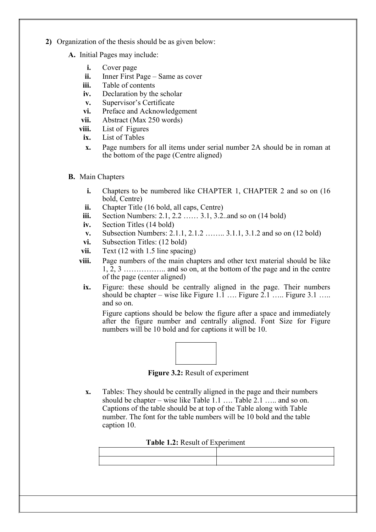- **2)** Organization of the thesis should be as given below:
	- **A.** Initial Pages may include:
		- **i.** Cover page
		- **ii.** Inner First Page Same as cover
		- **iii.** Table of contents
		- **iv.** Declaration by the scholar
		- **v.** Supervisor's Certificate
		- **vi.** Preface and Acknowledgement
		- **vii.** Abstract (Max 250 words)
		- **viii.** List of Figures
		- **ix.** List of Tables
		- **x.** Page numbers for all items under serial number 2A should be in roman at the bottom of the page (Centre aligned)
	- **B.** Main Chapters
		- **i.** Chapters to be numbered like CHAPTER 1, CHAPTER 2 and so on (16) bold, Centre)
		- **ii.** Chapter Title (16 bold, all caps, Centre)
		- **iii.** Section Numbers: 2.1, 2.2 …… 3.1, 3.2. and so on (14 bold)
		- **iv.** Section Titles (14 bold)
		- **v.** Subsection Numbers: 2.1.1, 2.1.2 …….. 3.1.1, 3.1.2 and so on (12 bold)
		- vi. Subsection Titles: (12 bold)
		- vii. Text (12 with 1.5 line spacing)
		- **viii.** Page numbers of the main chapters and other text material should be like  $1, 2, 3, \ldots$  and so on, at the bottom of the page and in the centre of the page (center aligned)
			- **ix.** Figure: these should be centrally aligned in the page. Their numbers should be chapter – wise like Figure 1.1 …. Figure 2.1 ….. Figure 3.1 …. and so on.

Figure captions should be below the figure after a space and immediately after the figure number and centrally aligned. Font Size for Figure numbers will be 10 bold and for captions it will be 10.



**Figure 3.2:** Result of experiment

**x.** Tables: They should be centrally aligned in the page and their numbers should be chapter – wise like Table 1.1 …. Table 2.1 ….. and so on. Captions of the table should be at top of the Table along with Table number. The font for the table numbers will be 10 bold and the table caption 10.

#### **Table 1.2:** Result of Experiment